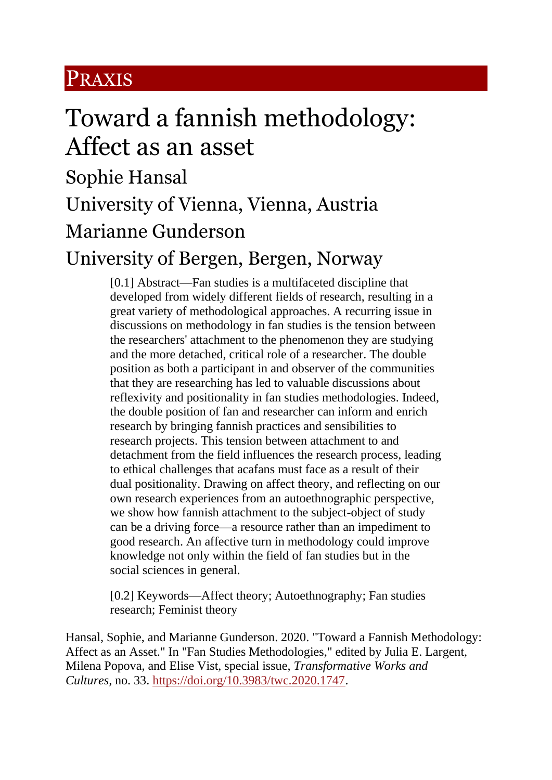#### PRAXIS

# Toward a fannish methodology: Affect as an asset

Sophie Hansal University of Vienna, Vienna, Austria Marianne Gunderson University of Bergen, Bergen, Norway

> [0.1] Abstract—Fan studies is a multifaceted discipline that developed from widely different fields of research, resulting in a great variety of methodological approaches. A recurring issue in discussions on methodology in fan studies is the tension between the researchers' attachment to the phenomenon they are studying and the more detached, critical role of a researcher. The double position as both a participant in and observer of the communities that they are researching has led to valuable discussions about reflexivity and positionality in fan studies methodologies. Indeed, the double position of fan and researcher can inform and enrich research by bringing fannish practices and sensibilities to research projects. This tension between attachment to and detachment from the field influences the research process, leading to ethical challenges that acafans must face as a result of their dual positionality. Drawing on affect theory, and reflecting on our own research experiences from an autoethnographic perspective, we show how fannish attachment to the subject-object of study can be a driving force—a resource rather than an impediment to good research. An affective turn in methodology could improve knowledge not only within the field of fan studies but in the social sciences in general.

[0.2] Keywords—Affect theory; Autoethnography; Fan studies research; Feminist theory

Hansal, Sophie, and Marianne Gunderson. 2020. "Toward a Fannish Methodology: Affect as an Asset." In "Fan Studies Methodologies," edited by Julia E. Largent, Milena Popova, and Elise Vist, special issue, *Transformative Works and Cultures,* no. 33. [https://doi.org/10.3983/twc.2020.1747.](https://doi.org/10.3983/twc.2020.1747)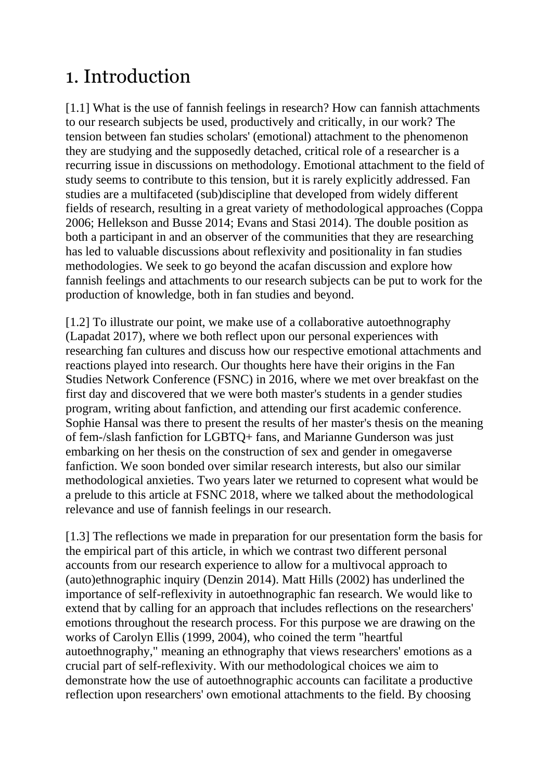### 1. Introduction

[1.1] What is the use of fannish feelings in research? How can fannish attachments to our research subjects be used, productively and critically, in our work? The tension between fan studies scholars' (emotional) attachment to the phenomenon they are studying and the supposedly detached, critical role of a researcher is a recurring issue in discussions on methodology. Emotional attachment to the field of study seems to contribute to this tension, but it is rarely explicitly addressed. Fan studies are a multifaceted (sub)discipline that developed from widely different fields of research, resulting in a great variety of methodological approaches (Coppa 2006; Hellekson and Busse 2014; Evans and Stasi 2014). The double position as both a participant in and an observer of the communities that they are researching has led to valuable discussions about reflexivity and positionality in fan studies methodologies. We seek to go beyond the acafan discussion and explore how fannish feelings and attachments to our research subjects can be put to work for the production of knowledge, both in fan studies and beyond.

[1.2] To illustrate our point, we make use of a collaborative autoethnography (Lapadat 2017), where we both reflect upon our personal experiences with researching fan cultures and discuss how our respective emotional attachments and reactions played into research. Our thoughts here have their origins in the Fan Studies Network Conference (FSNC) in 2016, where we met over breakfast on the first day and discovered that we were both master's students in a gender studies program, writing about fanfiction, and attending our first academic conference. Sophie Hansal was there to present the results of her master's thesis on the meaning of fem-/slash fanfiction for LGBTQ+ fans, and Marianne Gunderson was just embarking on her thesis on the construction of sex and gender in omegaverse fanfiction. We soon bonded over similar research interests, but also our similar methodological anxieties. Two years later we returned to copresent what would be a prelude to this article at FSNC 2018, where we talked about the methodological relevance and use of fannish feelings in our research.

[1.3] The reflections we made in preparation for our presentation form the basis for the empirical part of this article, in which we contrast two different personal accounts from our research experience to allow for a multivocal approach to (auto)ethnographic inquiry (Denzin 2014). Matt Hills (2002) has underlined the importance of self-reflexivity in autoethnographic fan research. We would like to extend that by calling for an approach that includes reflections on the researchers' emotions throughout the research process. For this purpose we are drawing on the works of Carolyn Ellis (1999, 2004), who coined the term "heartful autoethnography," meaning an ethnography that views researchers' emotions as a crucial part of self-reflexivity. With our methodological choices we aim to demonstrate how the use of autoethnographic accounts can facilitate a productive reflection upon researchers' own emotional attachments to the field. By choosing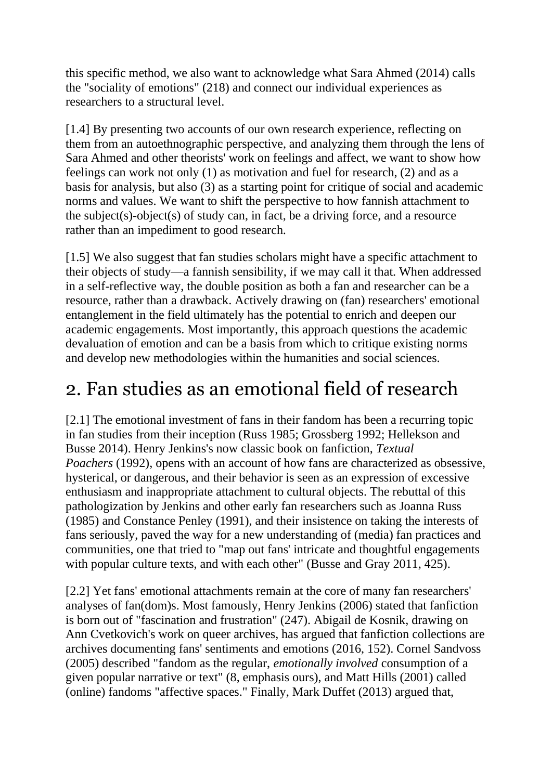this specific method, we also want to acknowledge what Sara Ahmed (2014) calls the "sociality of emotions" (218) and connect our individual experiences as researchers to a structural level.

[1.4] By presenting two accounts of our own research experience, reflecting on them from an autoethnographic perspective, and analyzing them through the lens of Sara Ahmed and other theorists' work on feelings and affect, we want to show how feelings can work not only (1) as motivation and fuel for research, (2) and as a basis for analysis, but also (3) as a starting point for critique of social and academic norms and values. We want to shift the perspective to how fannish attachment to the subject(s)-object(s) of study can, in fact, be a driving force, and a resource rather than an impediment to good research.

[1.5] We also suggest that fan studies scholars might have a specific attachment to their objects of study—a fannish sensibility, if we may call it that. When addressed in a self-reflective way, the double position as both a fan and researcher can be a resource, rather than a drawback. Actively drawing on (fan) researchers' emotional entanglement in the field ultimately has the potential to enrich and deepen our academic engagements. Most importantly, this approach questions the academic devaluation of emotion and can be a basis from which to critique existing norms and develop new methodologies within the humanities and social sciences.

#### 2. Fan studies as an emotional field of research

[2.1] The emotional investment of fans in their fandom has been a recurring topic in fan studies from their inception (Russ 1985; Grossberg 1992; Hellekson and Busse 2014). Henry Jenkins's now classic book on fanfiction, *Textual Poachers* (1992), opens with an account of how fans are characterized as obsessive, hysterical, or dangerous, and their behavior is seen as an expression of excessive enthusiasm and inappropriate attachment to cultural objects. The rebuttal of this pathologization by Jenkins and other early fan researchers such as Joanna Russ (1985) and Constance Penley (1991), and their insistence on taking the interests of fans seriously, paved the way for a new understanding of (media) fan practices and communities, one that tried to "map out fans' intricate and thoughtful engagements with popular culture texts, and with each other" (Busse and Gray 2011, 425).

[2.2] Yet fans' emotional attachments remain at the core of many fan researchers' analyses of fan(dom)s. Most famously, Henry Jenkins (2006) stated that fanfiction is born out of "fascination and frustration" (247). Abigail de Kosnik, drawing on Ann Cvetkovich's work on queer archives, has argued that fanfiction collections are archives documenting fans' sentiments and emotions (2016, 152). Cornel Sandvoss (2005) described "fandom as the regular, *emotionally involved* consumption of a given popular narrative or text" (8, emphasis ours), and Matt Hills (2001) called (online) fandoms "affective spaces." Finally, Mark Duffet (2013) argued that,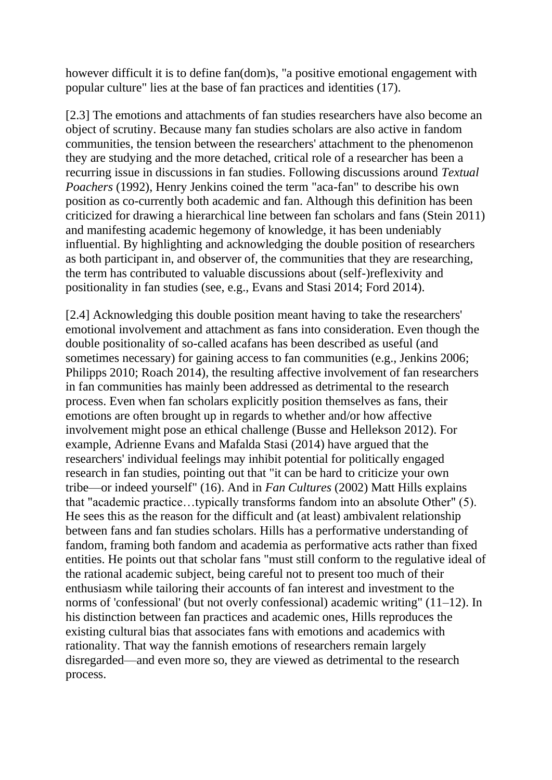however difficult it is to define fan(dom)s, "a positive emotional engagement with popular culture" lies at the base of fan practices and identities (17).

[2.3] The emotions and attachments of fan studies researchers have also become an object of scrutiny. Because many fan studies scholars are also active in fandom communities, the tension between the researchers' attachment to the phenomenon they are studying and the more detached, critical role of a researcher has been a recurring issue in discussions in fan studies. Following discussions around *Textual Poachers* (1992), Henry Jenkins coined the term "aca-fan" to describe his own position as co-currently both academic and fan. Although this definition has been criticized for drawing a hierarchical line between fan scholars and fans (Stein 2011) and manifesting academic hegemony of knowledge, it has been undeniably influential. By highlighting and acknowledging the double position of researchers as both participant in, and observer of, the communities that they are researching, the term has contributed to valuable discussions about (self-)reflexivity and positionality in fan studies (see, e.g., Evans and Stasi 2014; Ford 2014).

[2.4] Acknowledging this double position meant having to take the researchers' emotional involvement and attachment as fans into consideration. Even though the double positionality of so-called acafans has been described as useful (and sometimes necessary) for gaining access to fan communities (e.g., Jenkins 2006; Philipps 2010; Roach 2014), the resulting affective involvement of fan researchers in fan communities has mainly been addressed as detrimental to the research process. Even when fan scholars explicitly position themselves as fans, their emotions are often brought up in regards to whether and/or how affective involvement might pose an ethical challenge (Busse and Hellekson 2012). For example, Adrienne Evans and Mafalda Stasi (2014) have argued that the researchers' individual feelings may inhibit potential for politically engaged research in fan studies, pointing out that "it can be hard to criticize your own tribe—or indeed yourself" (16). And in *Fan Cultures* (2002) Matt Hills explains that "academic practice…typically transforms fandom into an absolute Other" (5). He sees this as the reason for the difficult and (at least) ambivalent relationship between fans and fan studies scholars. Hills has a performative understanding of fandom, framing both fandom and academia as performative acts rather than fixed entities. He points out that scholar fans "must still conform to the regulative ideal of the rational academic subject, being careful not to present too much of their enthusiasm while tailoring their accounts of fan interest and investment to the norms of 'confessional' (but not overly confessional) academic writing" (11–12). In his distinction between fan practices and academic ones, Hills reproduces the existing cultural bias that associates fans with emotions and academics with rationality. That way the fannish emotions of researchers remain largely disregarded—and even more so, they are viewed as detrimental to the research process.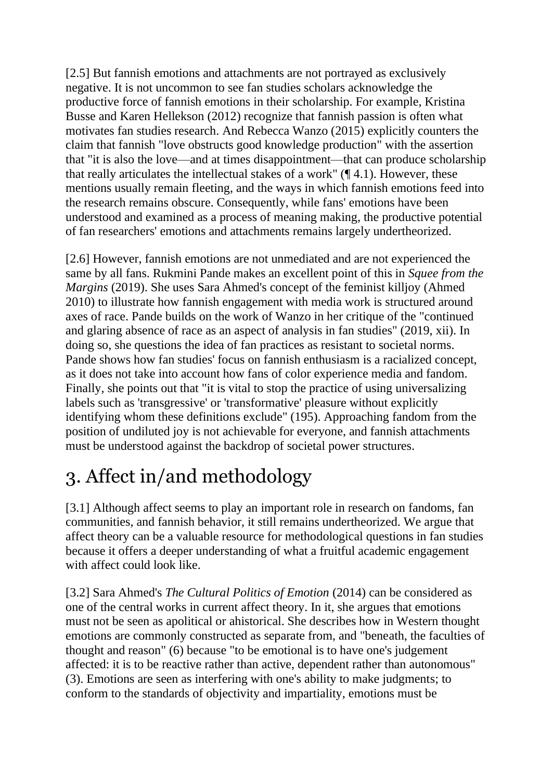[2.5] But fannish emotions and attachments are not portrayed as exclusively negative. It is not uncommon to see fan studies scholars acknowledge the productive force of fannish emotions in their scholarship. For example, Kristina Busse and Karen Hellekson (2012) recognize that fannish passion is often what motivates fan studies research. And Rebecca Wanzo (2015) explicitly counters the claim that fannish "love obstructs good knowledge production" with the assertion that "it is also the love—and at times disappointment—that can produce scholarship that really articulates the intellectual stakes of a work"  $(\P 4.1)$ . However, these mentions usually remain fleeting, and the ways in which fannish emotions feed into the research remains obscure. Consequently, while fans' emotions have been understood and examined as a process of meaning making, the productive potential of fan researchers' emotions and attachments remains largely undertheorized.

[2.6] However, fannish emotions are not unmediated and are not experienced the same by all fans. Rukmini Pande makes an excellent point of this in *Squee from the Margins* (2019). She uses Sara Ahmed's concept of the feminist killjoy (Ahmed 2010) to illustrate how fannish engagement with media work is structured around axes of race. Pande builds on the work of Wanzo in her critique of the "continued and glaring absence of race as an aspect of analysis in fan studies" (2019, xii). In doing so, she questions the idea of fan practices as resistant to societal norms. Pande shows how fan studies' focus on fannish enthusiasm is a racialized concept, as it does not take into account how fans of color experience media and fandom. Finally, she points out that "it is vital to stop the practice of using universalizing labels such as 'transgressive' or 'transformative' pleasure without explicitly identifying whom these definitions exclude" (195). Approaching fandom from the position of undiluted joy is not achievable for everyone, and fannish attachments must be understood against the backdrop of societal power structures.

# 3. Affect in/and methodology

[3.1] Although affect seems to play an important role in research on fandoms, fan communities, and fannish behavior, it still remains undertheorized. We argue that affect theory can be a valuable resource for methodological questions in fan studies because it offers a deeper understanding of what a fruitful academic engagement with affect could look like.

[3.2] Sara Ahmed's *The Cultural Politics of Emotion* (2014) can be considered as one of the central works in current affect theory. In it, she argues that emotions must not be seen as apolitical or ahistorical. She describes how in Western thought emotions are commonly constructed as separate from, and "beneath, the faculties of thought and reason" (6) because "to be emotional is to have one's judgement affected: it is to be reactive rather than active, dependent rather than autonomous" (3). Emotions are seen as interfering with one's ability to make judgments; to conform to the standards of objectivity and impartiality, emotions must be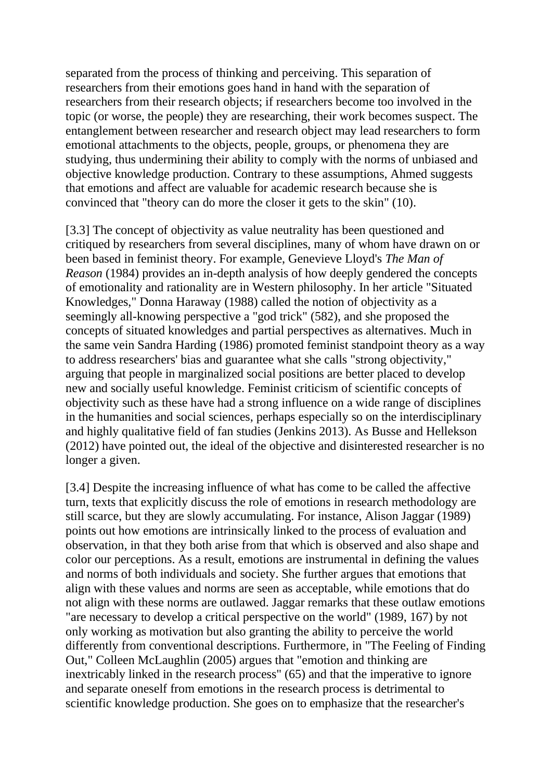separated from the process of thinking and perceiving. This separation of researchers from their emotions goes hand in hand with the separation of researchers from their research objects; if researchers become too involved in the topic (or worse, the people) they are researching, their work becomes suspect. The entanglement between researcher and research object may lead researchers to form emotional attachments to the objects, people, groups, or phenomena they are studying, thus undermining their ability to comply with the norms of unbiased and objective knowledge production. Contrary to these assumptions, Ahmed suggests that emotions and affect are valuable for academic research because she is convinced that "theory can do more the closer it gets to the skin" (10).

[3.3] The concept of objectivity as value neutrality has been questioned and critiqued by researchers from several disciplines, many of whom have drawn on or been based in feminist theory. For example, Genevieve Lloyd's *The Man of Reason* (1984) provides an in-depth analysis of how deeply gendered the concepts of emotionality and rationality are in Western philosophy. In her article "Situated Knowledges," Donna Haraway (1988) called the notion of objectivity as a seemingly all-knowing perspective a "god trick" (582), and she proposed the concepts of situated knowledges and partial perspectives as alternatives. Much in the same vein Sandra Harding (1986) promoted feminist standpoint theory as a way to address researchers' bias and guarantee what she calls "strong objectivity," arguing that people in marginalized social positions are better placed to develop new and socially useful knowledge. Feminist criticism of scientific concepts of objectivity such as these have had a strong influence on a wide range of disciplines in the humanities and social sciences, perhaps especially so on the interdisciplinary and highly qualitative field of fan studies (Jenkins 2013). As Busse and Hellekson (2012) have pointed out, the ideal of the objective and disinterested researcher is no longer a given.

[3.4] Despite the increasing influence of what has come to be called the affective turn, texts that explicitly discuss the role of emotions in research methodology are still scarce, but they are slowly accumulating. For instance, Alison Jaggar (1989) points out how emotions are intrinsically linked to the process of evaluation and observation, in that they both arise from that which is observed and also shape and color our perceptions. As a result, emotions are instrumental in defining the values and norms of both individuals and society. She further argues that emotions that align with these values and norms are seen as acceptable, while emotions that do not align with these norms are outlawed. Jaggar remarks that these outlaw emotions "are necessary to develop a critical perspective on the world" (1989, 167) by not only working as motivation but also granting the ability to perceive the world differently from conventional descriptions. Furthermore, in "The Feeling of Finding Out," Colleen McLaughlin (2005) argues that "emotion and thinking are inextricably linked in the research process" (65) and that the imperative to ignore and separate oneself from emotions in the research process is detrimental to scientific knowledge production. She goes on to emphasize that the researcher's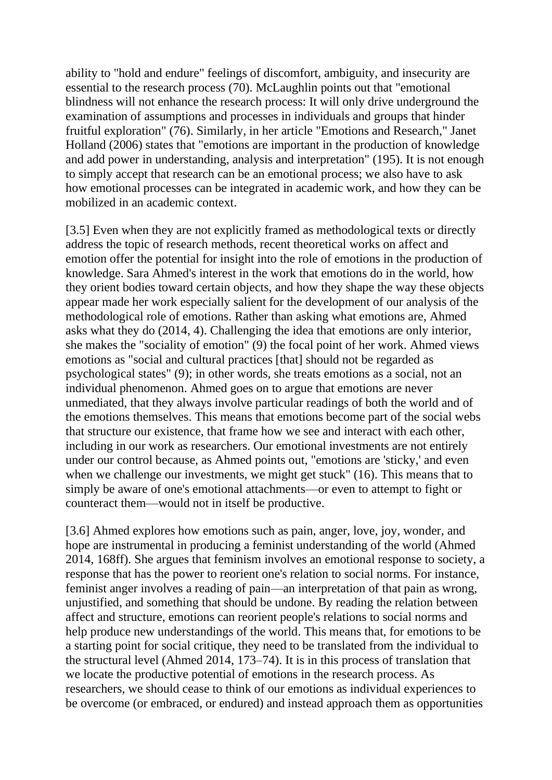ability to "hold and endure" feelings of discomfort, ambiguity, and insecurity are essential to the research process (70). McLaughlin points out that "emotional blindness will not enhance the research process: It will only drive underground the examination of assumptions and processes in individuals and groups that hinder fruitful exploration" (76). Similarly, in her article "Emotions and Research," Janet Holland (2006) states that "emotions are important in the production of knowledge and add power in understanding, analysis and interpretation" (195). It is not enough to simply accept that research can be an emotional process; we also have to ask how emotional processes can be integrated in academic work, and how they can be mobilized in an academic context.

[3.5] Even when they are not explicitly framed as methodological texts or directly address the topic of research methods, recent theoretical works on affect and emotion offer the potential for insight into the role of emotions in the production of knowledge. Sara Ahmed's interest in the work that emotions do in the world, how they orient bodies toward certain objects, and how they shape the way these objects appear made her work especially salient for the development of our analysis of the methodological role of emotions. Rather than asking what emotions are, Ahmed asks what they do (2014, 4). Challenging the idea that emotions are only interior, she makes the "sociality of emotion" (9) the focal point of her work. Ahmed views emotions as "social and cultural practices [that] should not be regarded as psychological states" (9); in other words, she treats emotions as a social, not an individual phenomenon. Ahmed goes on to argue that emotions are never unmediated, that they always involve particular readings of both the world and of the emotions themselves. This means that emotions become part of the social webs that structure our existence, that frame how we see and interact with each other, including in our work as researchers. Our emotional investments are not entirely under our control because, as Ahmed points out, "emotions are 'sticky,' and even when we challenge our investments, we might get stuck" (16). This means that to simply be aware of one's emotional attachments—or even to attempt to fight or counteract them—would not in itself be productive.

[3.6] Ahmed explores how emotions such as pain, anger, love, joy, wonder, and hope are instrumental in producing a feminist understanding of the world (Ahmed 2014, 168ff). She argues that feminism involves an emotional response to society, a response that has the power to reorient one's relation to social norms. For instance, feminist anger involves a reading of pain—an interpretation of that pain as wrong, unjustified, and something that should be undone. By reading the relation between affect and structure, emotions can reorient people's relations to social norms and help produce new understandings of the world. This means that, for emotions to be a starting point for social critique, they need to be translated from the individual to the structural level (Ahmed 2014, 173–74). It is in this process of translation that we locate the productive potential of emotions in the research process. As researchers, we should cease to think of our emotions as individual experiences to be overcome (or embraced, or endured) and instead approach them as opportunities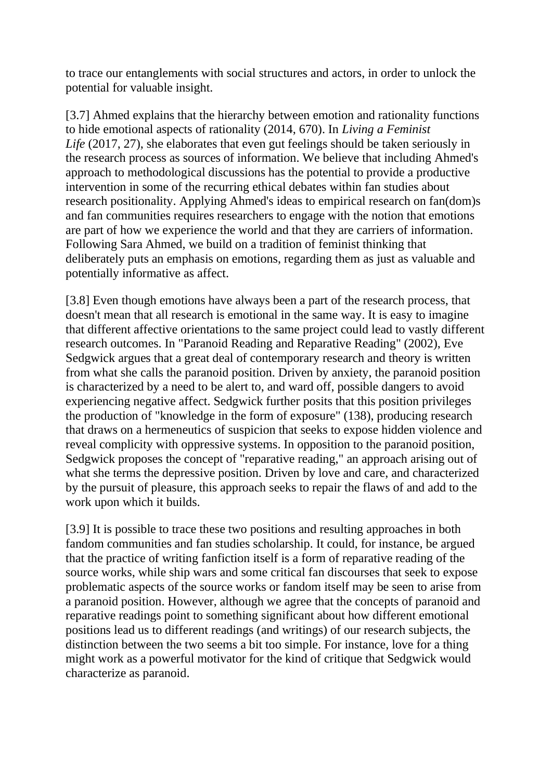to trace our entanglements with social structures and actors, in order to unlock the potential for valuable insight.

[3.7] Ahmed explains that the hierarchy between emotion and rationality functions to hide emotional aspects of rationality (2014, 670). In *Living a Feminist Life* (2017, 27), she elaborates that even gut feelings should be taken seriously in the research process as sources of information. We believe that including Ahmed's approach to methodological discussions has the potential to provide a productive intervention in some of the recurring ethical debates within fan studies about research positionality. Applying Ahmed's ideas to empirical research on fan(dom)s and fan communities requires researchers to engage with the notion that emotions are part of how we experience the world and that they are carriers of information. Following Sara Ahmed, we build on a tradition of feminist thinking that deliberately puts an emphasis on emotions, regarding them as just as valuable and potentially informative as affect.

[3.8] Even though emotions have always been a part of the research process, that doesn't mean that all research is emotional in the same way. It is easy to imagine that different affective orientations to the same project could lead to vastly different research outcomes. In "Paranoid Reading and Reparative Reading" (2002), Eve Sedgwick argues that a great deal of contemporary research and theory is written from what she calls the paranoid position. Driven by anxiety, the paranoid position is characterized by a need to be alert to, and ward off, possible dangers to avoid experiencing negative affect. Sedgwick further posits that this position privileges the production of "knowledge in the form of exposure" (138), producing research that draws on a hermeneutics of suspicion that seeks to expose hidden violence and reveal complicity with oppressive systems. In opposition to the paranoid position, Sedgwick proposes the concept of "reparative reading," an approach arising out of what she terms the depressive position. Driven by love and care, and characterized by the pursuit of pleasure, this approach seeks to repair the flaws of and add to the work upon which it builds.

[3.9] It is possible to trace these two positions and resulting approaches in both fandom communities and fan studies scholarship. It could, for instance, be argued that the practice of writing fanfiction itself is a form of reparative reading of the source works, while ship wars and some critical fan discourses that seek to expose problematic aspects of the source works or fandom itself may be seen to arise from a paranoid position. However, although we agree that the concepts of paranoid and reparative readings point to something significant about how different emotional positions lead us to different readings (and writings) of our research subjects, the distinction between the two seems a bit too simple. For instance, love for a thing might work as a powerful motivator for the kind of critique that Sedgwick would characterize as paranoid.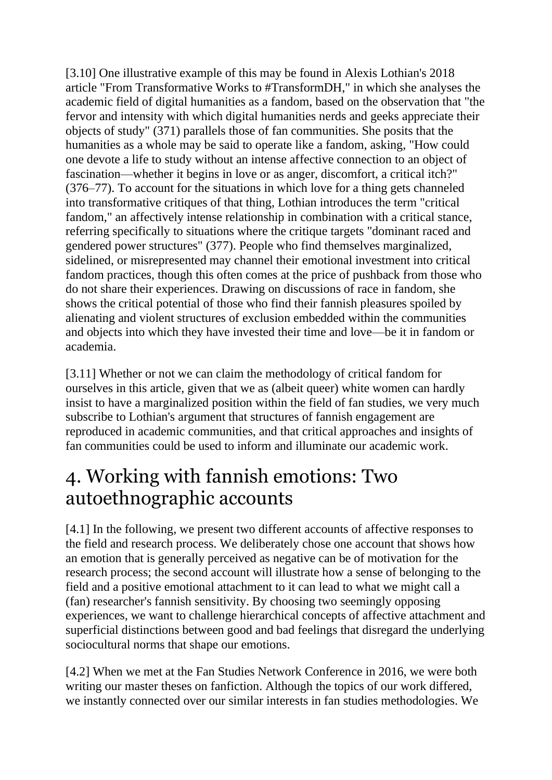[3.10] One illustrative example of this may be found in Alexis Lothian's 2018 article "From Transformative Works to #TransformDH," in which she analyses the academic field of digital humanities as a fandom, based on the observation that "the fervor and intensity with which digital humanities nerds and geeks appreciate their objects of study" (371) parallels those of fan communities. She posits that the humanities as a whole may be said to operate like a fandom, asking, "How could one devote a life to study without an intense affective connection to an object of fascination—whether it begins in love or as anger, discomfort, a critical itch?" (376–77). To account for the situations in which love for a thing gets channeled into transformative critiques of that thing, Lothian introduces the term "critical fandom," an affectively intense relationship in combination with a critical stance, referring specifically to situations where the critique targets "dominant raced and gendered power structures" (377). People who find themselves marginalized, sidelined, or misrepresented may channel their emotional investment into critical fandom practices, though this often comes at the price of pushback from those who do not share their experiences. Drawing on discussions of race in fandom, she shows the critical potential of those who find their fannish pleasures spoiled by alienating and violent structures of exclusion embedded within the communities and objects into which they have invested their time and love—be it in fandom or academia.

[3.11] Whether or not we can claim the methodology of critical fandom for ourselves in this article, given that we as (albeit queer) white women can hardly insist to have a marginalized position within the field of fan studies, we very much subscribe to Lothian's argument that structures of fannish engagement are reproduced in academic communities, and that critical approaches and insights of fan communities could be used to inform and illuminate our academic work.

### 4. Working with fannish emotions: Two autoethnographic accounts

[4.1] In the following, we present two different accounts of affective responses to the field and research process. We deliberately chose one account that shows how an emotion that is generally perceived as negative can be of motivation for the research process; the second account will illustrate how a sense of belonging to the field and a positive emotional attachment to it can lead to what we might call a (fan) researcher's fannish sensitivity. By choosing two seemingly opposing experiences, we want to challenge hierarchical concepts of affective attachment and superficial distinctions between good and bad feelings that disregard the underlying sociocultural norms that shape our emotions.

[4.2] When we met at the Fan Studies Network Conference in 2016, we were both writing our master theses on fanfiction. Although the topics of our work differed, we instantly connected over our similar interests in fan studies methodologies. We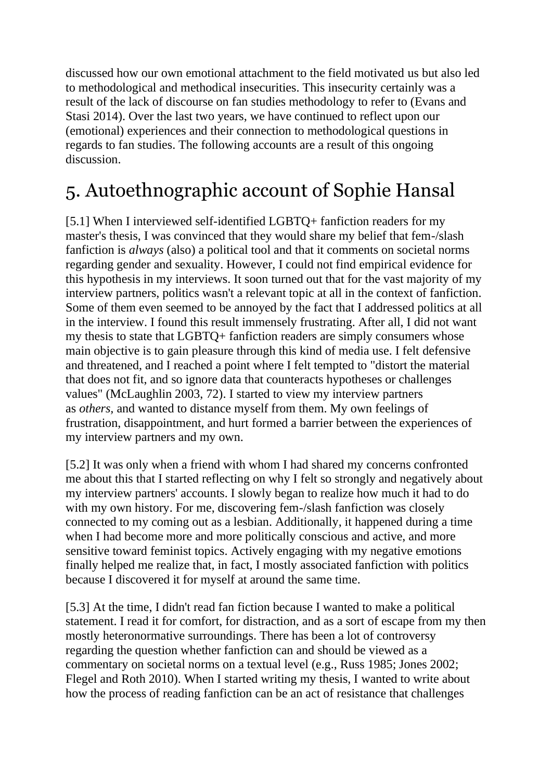discussed how our own emotional attachment to the field motivated us but also led to methodological and methodical insecurities. This insecurity certainly was a result of the lack of discourse on fan studies methodology to refer to (Evans and Stasi 2014). Over the last two years, we have continued to reflect upon our (emotional) experiences and their connection to methodological questions in regards to fan studies. The following accounts are a result of this ongoing discussion.

# 5. Autoethnographic account of Sophie Hansal

[5.1] When I interviewed self-identified LGBTQ+ fanfiction readers for my master's thesis, I was convinced that they would share my belief that fem-/slash fanfiction is *always* (also) a political tool and that it comments on societal norms regarding gender and sexuality. However, I could not find empirical evidence for this hypothesis in my interviews. It soon turned out that for the vast majority of my interview partners, politics wasn't a relevant topic at all in the context of fanfiction. Some of them even seemed to be annoyed by the fact that I addressed politics at all in the interview. I found this result immensely frustrating. After all, I did not want my thesis to state that LGBTQ+ fanfiction readers are simply consumers whose main objective is to gain pleasure through this kind of media use. I felt defensive and threatened, and I reached a point where I felt tempted to "distort the material that does not fit, and so ignore data that counteracts hypotheses or challenges values" (McLaughlin 2003, 72). I started to view my interview partners as *others,* and wanted to distance myself from them. My own feelings of frustration, disappointment, and hurt formed a barrier between the experiences of my interview partners and my own.

[5.2] It was only when a friend with whom I had shared my concerns confronted me about this that I started reflecting on why I felt so strongly and negatively about my interview partners' accounts. I slowly began to realize how much it had to do with my own history. For me, discovering fem-/slash fanfiction was closely connected to my coming out as a lesbian. Additionally, it happened during a time when I had become more and more politically conscious and active, and more sensitive toward feminist topics. Actively engaging with my negative emotions finally helped me realize that, in fact, I mostly associated fanfiction with politics because I discovered it for myself at around the same time.

[5.3] At the time, I didn't read fan fiction because I wanted to make a political statement. I read it for comfort, for distraction, and as a sort of escape from my then mostly heteronormative surroundings. There has been a lot of controversy regarding the question whether fanfiction can and should be viewed as a commentary on societal norms on a textual level (e.g., Russ 1985; Jones 2002; Flegel and Roth 2010). When I started writing my thesis, I wanted to write about how the process of reading fanfiction can be an act of resistance that challenges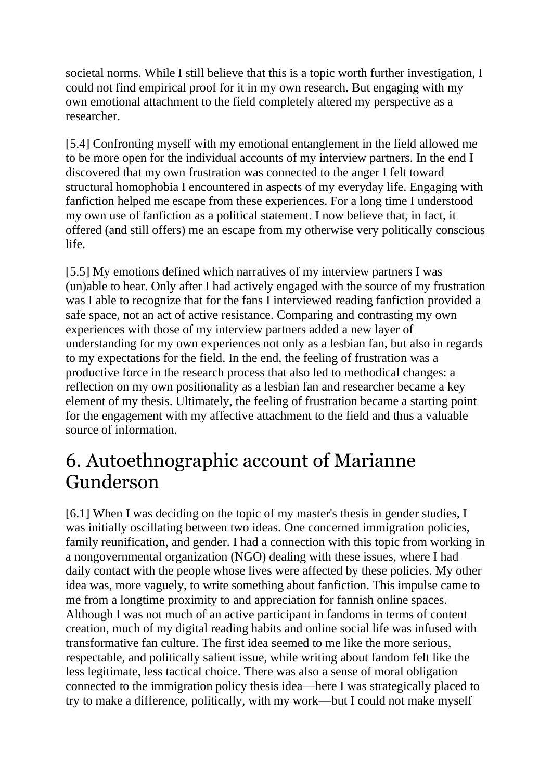societal norms. While I still believe that this is a topic worth further investigation, I could not find empirical proof for it in my own research. But engaging with my own emotional attachment to the field completely altered my perspective as a researcher.

[5.4] Confronting myself with my emotional entanglement in the field allowed me to be more open for the individual accounts of my interview partners. In the end I discovered that my own frustration was connected to the anger I felt toward structural homophobia I encountered in aspects of my everyday life. Engaging with fanfiction helped me escape from these experiences. For a long time I understood my own use of fanfiction as a political statement. I now believe that, in fact, it offered (and still offers) me an escape from my otherwise very politically conscious life.

[5.5] My emotions defined which narratives of my interview partners I was (un)able to hear. Only after I had actively engaged with the source of my frustration was I able to recognize that for the fans I interviewed reading fanfiction provided a safe space, not an act of active resistance. Comparing and contrasting my own experiences with those of my interview partners added a new layer of understanding for my own experiences not only as a lesbian fan, but also in regards to my expectations for the field. In the end, the feeling of frustration was a productive force in the research process that also led to methodical changes: a reflection on my own positionality as a lesbian fan and researcher became a key element of my thesis. Ultimately, the feeling of frustration became a starting point for the engagement with my affective attachment to the field and thus a valuable source of information.

#### 6. Autoethnographic account of Marianne Gunderson

[6.1] When I was deciding on the topic of my master's thesis in gender studies, I was initially oscillating between two ideas. One concerned immigration policies, family reunification, and gender. I had a connection with this topic from working in a nongovernmental organization (NGO) dealing with these issues, where I had daily contact with the people whose lives were affected by these policies. My other idea was, more vaguely, to write something about fanfiction. This impulse came to me from a longtime proximity to and appreciation for fannish online spaces. Although I was not much of an active participant in fandoms in terms of content creation, much of my digital reading habits and online social life was infused with transformative fan culture. The first idea seemed to me like the more serious, respectable, and politically salient issue, while writing about fandom felt like the less legitimate, less tactical choice. There was also a sense of moral obligation connected to the immigration policy thesis idea—here I was strategically placed to try to make a difference, politically, with my work—but I could not make myself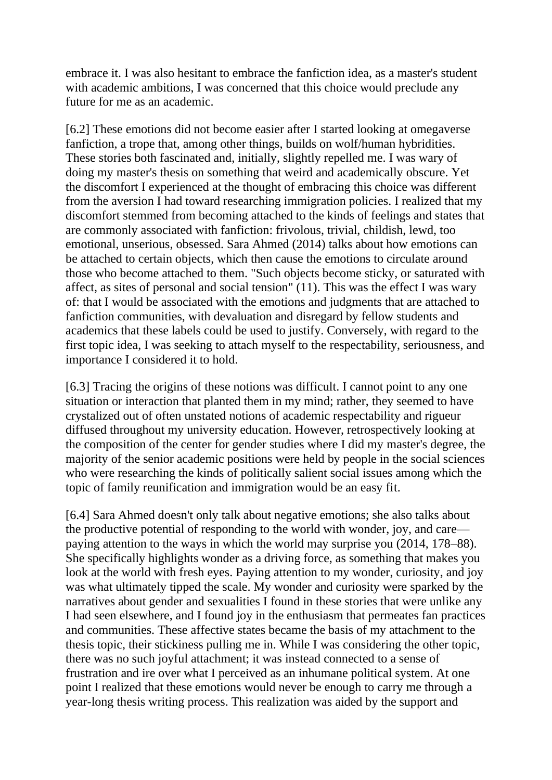embrace it. I was also hesitant to embrace the fanfiction idea, as a master's student with academic ambitions, I was concerned that this choice would preclude any future for me as an academic.

[6.2] These emotions did not become easier after I started looking at omegaverse fanfiction, a trope that, among other things, builds on wolf/human hybridities. These stories both fascinated and, initially, slightly repelled me. I was wary of doing my master's thesis on something that weird and academically obscure. Yet the discomfort I experienced at the thought of embracing this choice was different from the aversion I had toward researching immigration policies. I realized that my discomfort stemmed from becoming attached to the kinds of feelings and states that are commonly associated with fanfiction: frivolous, trivial, childish, lewd, too emotional, unserious, obsessed. Sara Ahmed (2014) talks about how emotions can be attached to certain objects, which then cause the emotions to circulate around those who become attached to them. "Such objects become sticky, or saturated with affect, as sites of personal and social tension" (11). This was the effect I was wary of: that I would be associated with the emotions and judgments that are attached to fanfiction communities, with devaluation and disregard by fellow students and academics that these labels could be used to justify. Conversely, with regard to the first topic idea, I was seeking to attach myself to the respectability, seriousness, and importance I considered it to hold.

[6.3] Tracing the origins of these notions was difficult. I cannot point to any one situation or interaction that planted them in my mind; rather, they seemed to have crystalized out of often unstated notions of academic respectability and rigueur diffused throughout my university education. However, retrospectively looking at the composition of the center for gender studies where I did my master's degree, the majority of the senior academic positions were held by people in the social sciences who were researching the kinds of politically salient social issues among which the topic of family reunification and immigration would be an easy fit.

[6.4] Sara Ahmed doesn't only talk about negative emotions; she also talks about the productive potential of responding to the world with wonder, joy, and care paying attention to the ways in which the world may surprise you (2014, 178–88). She specifically highlights wonder as a driving force, as something that makes you look at the world with fresh eyes. Paying attention to my wonder, curiosity, and joy was what ultimately tipped the scale. My wonder and curiosity were sparked by the narratives about gender and sexualities I found in these stories that were unlike any I had seen elsewhere, and I found joy in the enthusiasm that permeates fan practices and communities. These affective states became the basis of my attachment to the thesis topic, their stickiness pulling me in. While I was considering the other topic, there was no such joyful attachment; it was instead connected to a sense of frustration and ire over what I perceived as an inhumane political system. At one point I realized that these emotions would never be enough to carry me through a year-long thesis writing process. This realization was aided by the support and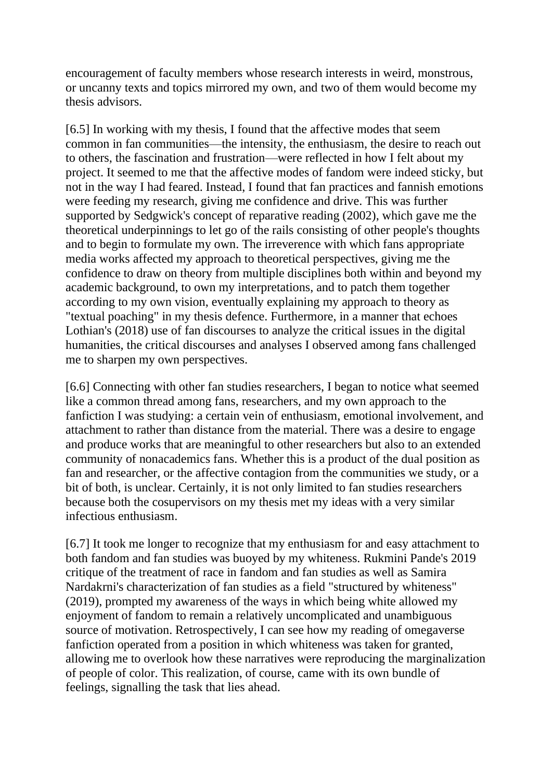encouragement of faculty members whose research interests in weird, monstrous, or uncanny texts and topics mirrored my own, and two of them would become my thesis advisors.

[6.5] In working with my thesis, I found that the affective modes that seem common in fan communities—the intensity, the enthusiasm, the desire to reach out to others, the fascination and frustration—were reflected in how I felt about my project. It seemed to me that the affective modes of fandom were indeed sticky, but not in the way I had feared. Instead, I found that fan practices and fannish emotions were feeding my research, giving me confidence and drive. This was further supported by Sedgwick's concept of reparative reading (2002), which gave me the theoretical underpinnings to let go of the rails consisting of other people's thoughts and to begin to formulate my own. The irreverence with which fans appropriate media works affected my approach to theoretical perspectives, giving me the confidence to draw on theory from multiple disciplines both within and beyond my academic background, to own my interpretations, and to patch them together according to my own vision, eventually explaining my approach to theory as "textual poaching" in my thesis defence. Furthermore, in a manner that echoes Lothian's (2018) use of fan discourses to analyze the critical issues in the digital humanities, the critical discourses and analyses I observed among fans challenged me to sharpen my own perspectives.

[6.6] Connecting with other fan studies researchers, I began to notice what seemed like a common thread among fans, researchers, and my own approach to the fanfiction I was studying: a certain vein of enthusiasm, emotional involvement, and attachment to rather than distance from the material. There was a desire to engage and produce works that are meaningful to other researchers but also to an extended community of nonacademics fans. Whether this is a product of the dual position as fan and researcher, or the affective contagion from the communities we study, or a bit of both, is unclear. Certainly, it is not only limited to fan studies researchers because both the cosupervisors on my thesis met my ideas with a very similar infectious enthusiasm.

[6.7] It took me longer to recognize that my enthusiasm for and easy attachment to both fandom and fan studies was buoyed by my whiteness. Rukmini Pande's 2019 critique of the treatment of race in fandom and fan studies as well as Samira Nardakrni's characterization of fan studies as a field "structured by whiteness" (2019), prompted my awareness of the ways in which being white allowed my enjoyment of fandom to remain a relatively uncomplicated and unambiguous source of motivation. Retrospectively, I can see how my reading of omegaverse fanfiction operated from a position in which whiteness was taken for granted, allowing me to overlook how these narratives were reproducing the marginalization of people of color. This realization, of course, came with its own bundle of feelings, signalling the task that lies ahead.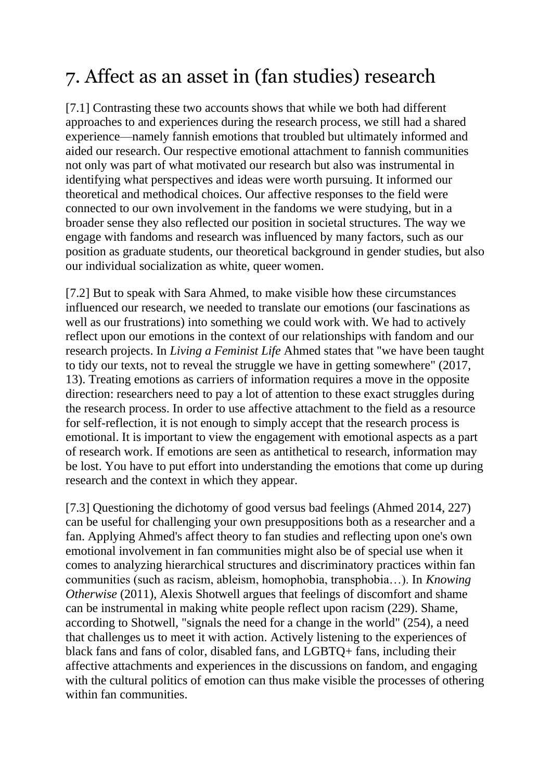# 7. Affect as an asset in (fan studies) research

[7.1] Contrasting these two accounts shows that while we both had different approaches to and experiences during the research process, we still had a shared experience—namely fannish emotions that troubled but ultimately informed and aided our research. Our respective emotional attachment to fannish communities not only was part of what motivated our research but also was instrumental in identifying what perspectives and ideas were worth pursuing. It informed our theoretical and methodical choices. Our affective responses to the field were connected to our own involvement in the fandoms we were studying, but in a broader sense they also reflected our position in societal structures. The way we engage with fandoms and research was influenced by many factors, such as our position as graduate students, our theoretical background in gender studies, but also our individual socialization as white, queer women.

[7.2] But to speak with Sara Ahmed, to make visible how these circumstances influenced our research, we needed to translate our emotions (our fascinations as well as our frustrations) into something we could work with. We had to actively reflect upon our emotions in the context of our relationships with fandom and our research projects. In *Living a Feminist Life* Ahmed states that "we have been taught to tidy our texts, not to reveal the struggle we have in getting somewhere" (2017, 13). Treating emotions as carriers of information requires a move in the opposite direction: researchers need to pay a lot of attention to these exact struggles during the research process. In order to use affective attachment to the field as a resource for self-reflection, it is not enough to simply accept that the research process is emotional. It is important to view the engagement with emotional aspects as a part of research work. If emotions are seen as antithetical to research, information may be lost. You have to put effort into understanding the emotions that come up during research and the context in which they appear.

[7.3] Questioning the dichotomy of good versus bad feelings (Ahmed 2014, 227) can be useful for challenging your own presuppositions both as a researcher and a fan. Applying Ahmed's affect theory to fan studies and reflecting upon one's own emotional involvement in fan communities might also be of special use when it comes to analyzing hierarchical structures and discriminatory practices within fan communities (such as racism, ableism, homophobia, transphobia…). In *Knowing Otherwise* (2011), Alexis Shotwell argues that feelings of discomfort and shame can be instrumental in making white people reflect upon racism (229). Shame, according to Shotwell, "signals the need for a change in the world" (254), a need that challenges us to meet it with action. Actively listening to the experiences of black fans and fans of color, disabled fans, and LGBTQ+ fans, including their affective attachments and experiences in the discussions on fandom, and engaging with the cultural politics of emotion can thus make visible the processes of othering within fan communities.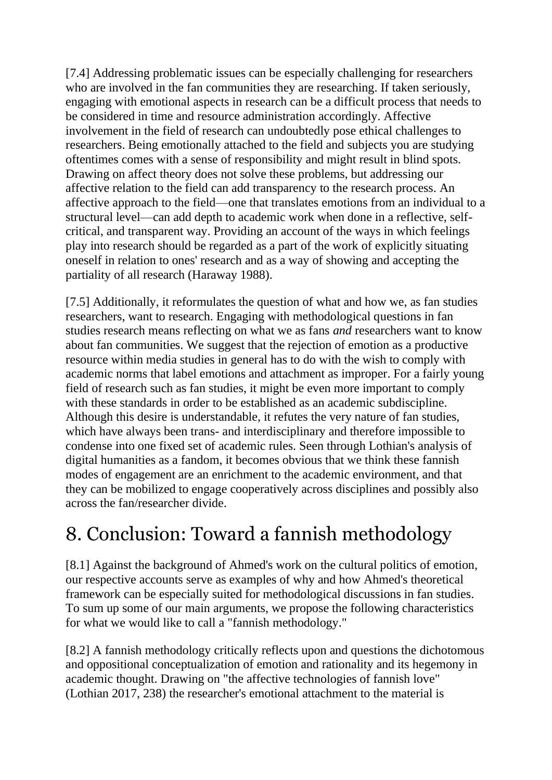[7.4] Addressing problematic issues can be especially challenging for researchers who are involved in the fan communities they are researching. If taken seriously, engaging with emotional aspects in research can be a difficult process that needs to be considered in time and resource administration accordingly. Affective involvement in the field of research can undoubtedly pose ethical challenges to researchers. Being emotionally attached to the field and subjects you are studying oftentimes comes with a sense of responsibility and might result in blind spots. Drawing on affect theory does not solve these problems, but addressing our affective relation to the field can add transparency to the research process. An affective approach to the field—one that translates emotions from an individual to a structural level—can add depth to academic work when done in a reflective, selfcritical, and transparent way. Providing an account of the ways in which feelings play into research should be regarded as a part of the work of explicitly situating oneself in relation to ones' research and as a way of showing and accepting the partiality of all research (Haraway 1988).

[7.5] Additionally, it reformulates the question of what and how we, as fan studies researchers, want to research. Engaging with methodological questions in fan studies research means reflecting on what we as fans *and* researchers want to know about fan communities. We suggest that the rejection of emotion as a productive resource within media studies in general has to do with the wish to comply with academic norms that label emotions and attachment as improper. For a fairly young field of research such as fan studies, it might be even more important to comply with these standards in order to be established as an academic subdiscipline. Although this desire is understandable, it refutes the very nature of fan studies, which have always been trans- and interdisciplinary and therefore impossible to condense into one fixed set of academic rules. Seen through Lothian's analysis of digital humanities as a fandom, it becomes obvious that we think these fannish modes of engagement are an enrichment to the academic environment, and that they can be mobilized to engage cooperatively across disciplines and possibly also across the fan/researcher divide.

### 8. Conclusion: Toward a fannish methodology

[8.1] Against the background of Ahmed's work on the cultural politics of emotion, our respective accounts serve as examples of why and how Ahmed's theoretical framework can be especially suited for methodological discussions in fan studies. To sum up some of our main arguments, we propose the following characteristics for what we would like to call a "fannish methodology."

[8.2] A fannish methodology critically reflects upon and questions the dichotomous and oppositional conceptualization of emotion and rationality and its hegemony in academic thought. Drawing on "the affective technologies of fannish love" (Lothian 2017, 238) the researcher's emotional attachment to the material is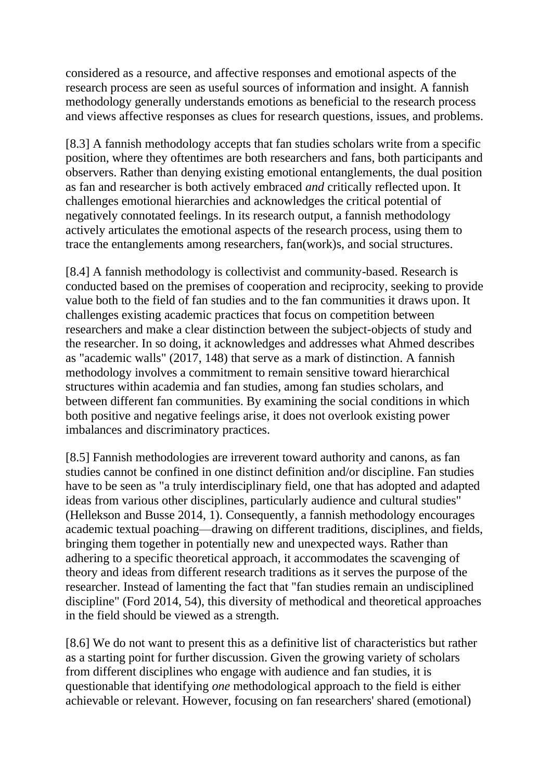considered as a resource, and affective responses and emotional aspects of the research process are seen as useful sources of information and insight. A fannish methodology generally understands emotions as beneficial to the research process and views affective responses as clues for research questions, issues, and problems.

[8.3] A fannish methodology accepts that fan studies scholars write from a specific position, where they oftentimes are both researchers and fans, both participants and observers. Rather than denying existing emotional entanglements, the dual position as fan and researcher is both actively embraced *and* critically reflected upon. It challenges emotional hierarchies and acknowledges the critical potential of negatively connotated feelings. In its research output, a fannish methodology actively articulates the emotional aspects of the research process, using them to trace the entanglements among researchers, fan(work)s, and social structures.

[8.4] A fannish methodology is collectivist and community-based. Research is conducted based on the premises of cooperation and reciprocity, seeking to provide value both to the field of fan studies and to the fan communities it draws upon. It challenges existing academic practices that focus on competition between researchers and make a clear distinction between the subject-objects of study and the researcher. In so doing, it acknowledges and addresses what Ahmed describes as "academic walls" (2017, 148) that serve as a mark of distinction. A fannish methodology involves a commitment to remain sensitive toward hierarchical structures within academia and fan studies, among fan studies scholars, and between different fan communities. By examining the social conditions in which both positive and negative feelings arise, it does not overlook existing power imbalances and discriminatory practices.

[8.5] Fannish methodologies are irreverent toward authority and canons, as fan studies cannot be confined in one distinct definition and/or discipline. Fan studies have to be seen as "a truly interdisciplinary field, one that has adopted and adapted ideas from various other disciplines, particularly audience and cultural studies" (Hellekson and Busse 2014, 1). Consequently, a fannish methodology encourages academic textual poaching—drawing on different traditions, disciplines, and fields, bringing them together in potentially new and unexpected ways. Rather than adhering to a specific theoretical approach, it accommodates the scavenging of theory and ideas from different research traditions as it serves the purpose of the researcher. Instead of lamenting the fact that "fan studies remain an undisciplined discipline" (Ford 2014, 54), this diversity of methodical and theoretical approaches in the field should be viewed as a strength.

[8.6] We do not want to present this as a definitive list of characteristics but rather as a starting point for further discussion. Given the growing variety of scholars from different disciplines who engage with audience and fan studies, it is questionable that identifying *one* methodological approach to the field is either achievable or relevant. However, focusing on fan researchers' shared (emotional)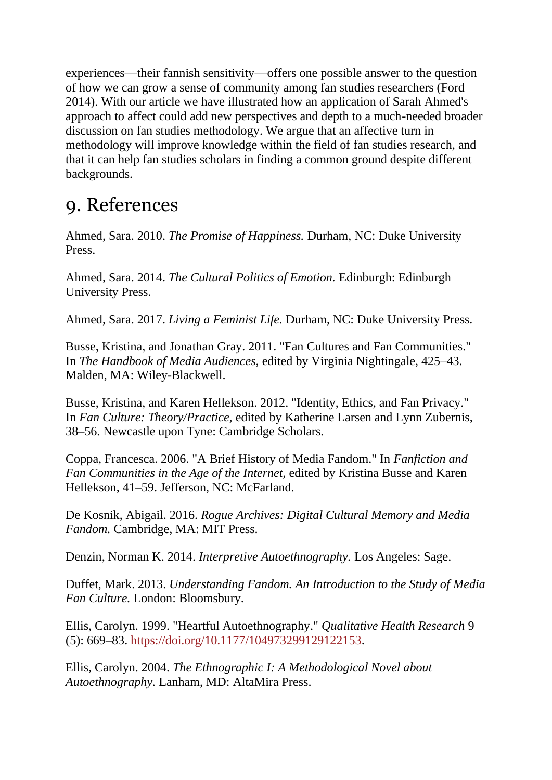experiences—their fannish sensitivity—offers one possible answer to the question of how we can grow a sense of community among fan studies researchers (Ford 2014). With our article we have illustrated how an application of Sarah Ahmed's approach to affect could add new perspectives and depth to a much-needed broader discussion on fan studies methodology. We argue that an affective turn in methodology will improve knowledge within the field of fan studies research, and that it can help fan studies scholars in finding a common ground despite different backgrounds.

#### 9. References

Ahmed, Sara. 2010. *The Promise of Happiness.* Durham, NC: Duke University Press.

Ahmed, Sara. 2014. *The Cultural Politics of Emotion.* Edinburgh: Edinburgh University Press.

Ahmed, Sara. 2017. *Living a Feminist Life.* Durham, NC: Duke University Press.

Busse, Kristina, and Jonathan Gray. 2011. "Fan Cultures and Fan Communities." In *The Handbook of Media Audiences,* edited by Virginia Nightingale, 425–43. Malden, MA: Wiley-Blackwell.

Busse, Kristina, and Karen Hellekson. 2012. "Identity, Ethics, and Fan Privacy." In *Fan Culture: Theory/Practice,* edited by Katherine Larsen and Lynn Zubernis, 38–56. Newcastle upon Tyne: Cambridge Scholars.

Coppa, Francesca. 2006. "A Brief History of Media Fandom." In *Fanfiction and Fan Communities in the Age of the Internet,* edited by Kristina Busse and Karen Hellekson, 41–59. Jefferson, NC: McFarland.

De Kosnik, Abigail. 2016. *Rogue Archives: Digital Cultural Memory and Media Fandom.* Cambridge, MA: MIT Press.

Denzin, Norman K. 2014. *Interpretive Autoethnography.* Los Angeles: Sage.

Duffet, Mark. 2013. *Understanding Fandom. An Introduction to the Study of Media Fan Culture.* London: Bloomsbury.

Ellis, Carolyn. 1999. "Heartful Autoethnography." *Qualitative Health Research* 9 (5): 669–83. [https://doi.org/10.1177/104973299129122153.](https://doi.org/10.1177/104973299129122153)

Ellis, Carolyn. 2004. *The Ethnographic I: A Methodological Novel about Autoethnography.* Lanham, MD: AltaMira Press.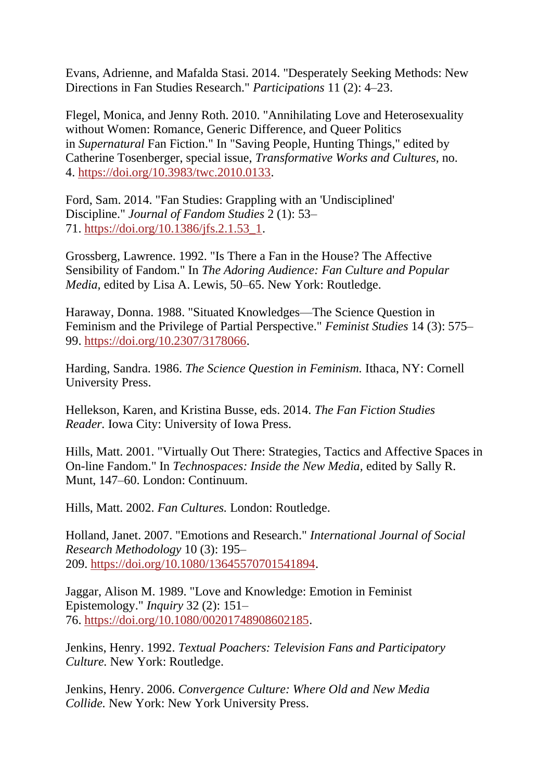Evans, Adrienne, and Mafalda Stasi. 2014. "Desperately Seeking Methods: New Directions in Fan Studies Research." *Participations* 11 (2): 4–23.

Flegel, Monica, and Jenny Roth. 2010. "Annihilating Love and Heterosexuality without Women: Romance, Generic Difference, and Queer Politics in *Supernatural* Fan Fiction." In "Saving People, Hunting Things," edited by Catherine Tosenberger, special issue, *Transformative Works and Cultures,* no. 4. [https://doi.org/10.3983/twc.2010.0133.](https://doi.org/10.3983/twc.2010.0133)

Ford, Sam. 2014. "Fan Studies: Grappling with an 'Undisciplined' Discipline." *Journal of Fandom Studies* 2 (1): 53– 71. [https://doi.org/10.1386/jfs.2.1.53\\_1.](https://doi.org/10.1386/jfs.2.1.53_1)

Grossberg, Lawrence. 1992. "Is There a Fan in the House? The Affective Sensibility of Fandom." In *The Adoring Audience: Fan Culture and Popular Media,* edited by Lisa A. Lewis, 50–65. New York: Routledge.

Haraway, Donna. 1988. "Situated Knowledges—The Science Question in Feminism and the Privilege of Partial Perspective." *Feminist Studies* 14 (3): 575– 99. [https://doi.org/10.2307/3178066.](https://doi.org/10.2307/3178066)

Harding, Sandra. 1986. *The Science Question in Feminism.* Ithaca, NY: Cornell University Press.

Hellekson, Karen, and Kristina Busse, eds. 2014. *The Fan Fiction Studies Reader.* Iowa City: University of Iowa Press.

Hills, Matt. 2001. "Virtually Out There: Strategies, Tactics and Affective Spaces in On-line Fandom." In *Technospaces: Inside the New Media,* edited by Sally R. Munt, 147–60. London: Continuum.

Hills, Matt. 2002. *Fan Cultures.* London: Routledge.

Holland, Janet. 2007. "Emotions and Research." *International Journal of Social Research Methodology* 10 (3): 195– 209. [https://doi.org/10.1080/13645570701541894.](https://doi.org/10.1080/13645570701541894)

Jaggar, Alison M. 1989. "Love and Knowledge: Emotion in Feminist Epistemology." *Inquiry* 32 (2): 151– 76. [https://doi.org/10.1080/00201748908602185.](https://doi.org/10.1080/00201748908602185)

Jenkins, Henry. 1992. *Textual Poachers: Television Fans and Participatory Culture.* New York: Routledge.

Jenkins, Henry. 2006. *Convergence Culture: Where Old and New Media Collide.* New York: New York University Press.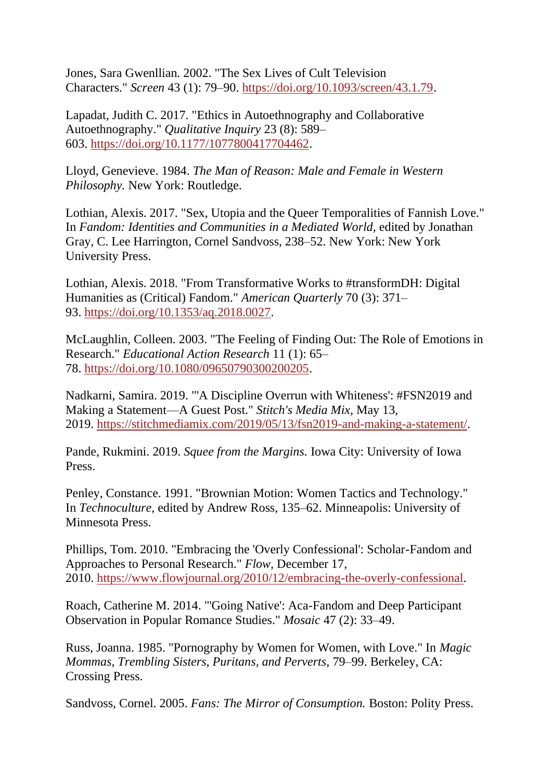Jones, Sara Gwenllian. 2002. "The Sex Lives of Cult Television Characters." *Screen* 43 (1): 79–90. [https://doi.org/10.1093/screen/43.1.79.](https://doi.org/10.1093/screen/43.1.79)

Lapadat, Judith C. 2017. "Ethics in Autoethnography and Collaborative Autoethnography." *Qualitative Inquiry* 23 (8): 589– 603. [https://doi.org/10.1177/1077800417704462.](https://doi.org/10.1177/1077800417704462)

Lloyd, Genevieve. 1984. *The Man of Reason: Male and Female in Western Philosophy.* New York: Routledge.

Lothian, Alexis. 2017. "Sex, Utopia and the Queer Temporalities of Fannish Love." In *Fandom: Identities and Communities in a Mediated World,* edited by Jonathan Gray, C. Lee Harrington, Cornel Sandvoss, 238–52. New York: New York University Press.

Lothian, Alexis. 2018. "From Transformative Works to #transformDH: Digital Humanities as (Critical) Fandom." *American Quarterly* 70 (3): 371– 93. [https://doi.org/10.1353/aq.2018.0027.](https://doi.org/10.1353/aq.2018.0027)

McLaughlin, Colleen. 2003. "The Feeling of Finding Out: The Role of Emotions in Research." *Educational Action Research* 11 (1): 65– 78. [https://doi.org/10.1080/09650790300200205.](https://doi.org/10.1080/09650790300200205)

Nadkarni, Samira. 2019. "'A Discipline Overrun with Whiteness': #FSN2019 and Making a Statement—A Guest Post." *Stitch's Media Mix,* May 13, 2019. [https://stitchmediamix.com/2019/05/13/fsn2019-and-making-a-statement/.](https://stitchmediamix.com/2019/05/13/fsn2019-and-making-a-statement/)

Pande, Rukmini. 2019. *Squee from the Margins.* Iowa City: University of Iowa Press.

Penley, Constance. 1991. "Brownian Motion: Women Tactics and Technology." In *Technoculture,* edited by Andrew Ross, 135–62. Minneapolis: University of Minnesota Press.

Phillips, Tom. 2010. "Embracing the 'Overly Confessional': Scholar-Fandom and Approaches to Personal Research." *Flow,* December 17, 2010. [https://www.flowjournal.org/2010/12/embracing-the-overly-confessional.](https://www.flowjournal.org/2010/12/embracing-the-overly-confessional)

Roach, Catherine M. 2014. "'Going Native': Aca-Fandom and Deep Participant Observation in Popular Romance Studies." *Mosaic* 47 (2): 33–49.

Russ, Joanna. 1985. "Pornography by Women for Women, with Love." In *Magic Mommas, Trembling Sisters, Puritans, and Perverts,* 79–99. Berkeley, CA: Crossing Press.

Sandvoss, Cornel. 2005. *Fans: The Mirror of Consumption.* Boston: Polity Press.